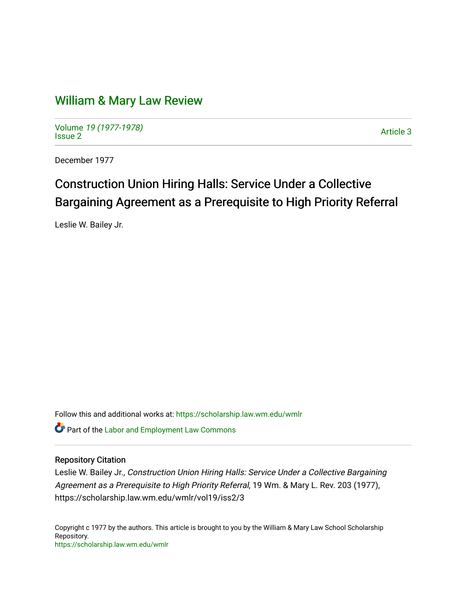## [William & Mary Law Review](https://scholarship.law.wm.edu/wmlr)

Volume [19 \(1977-1978\)](https://scholarship.law.wm.edu/wmlr/vol19)  Notative 19 (1977-1976)<br>[Issue 2](https://scholarship.law.wm.edu/wmlr/vol19/iss2)

December 1977

# Construction Union Hiring Halls: Service Under a Collective Bargaining Agreement as a Prerequisite to High Priority Referral

Leslie W. Bailey Jr.

Follow this and additional works at: [https://scholarship.law.wm.edu/wmlr](https://scholarship.law.wm.edu/wmlr?utm_source=scholarship.law.wm.edu%2Fwmlr%2Fvol19%2Fiss2%2F3&utm_medium=PDF&utm_campaign=PDFCoverPages) Part of the [Labor and Employment Law Commons](http://network.bepress.com/hgg/discipline/909?utm_source=scholarship.law.wm.edu%2Fwmlr%2Fvol19%2Fiss2%2F3&utm_medium=PDF&utm_campaign=PDFCoverPages)

## Repository Citation

Leslie W. Bailey Jr., Construction Union Hiring Halls: Service Under a Collective Bargaining Agreement as a Prerequisite to High Priority Referral, 19 Wm. & Mary L. Rev. 203 (1977), https://scholarship.law.wm.edu/wmlr/vol19/iss2/3

Copyright c 1977 by the authors. This article is brought to you by the William & Mary Law School Scholarship Repository. <https://scholarship.law.wm.edu/wmlr>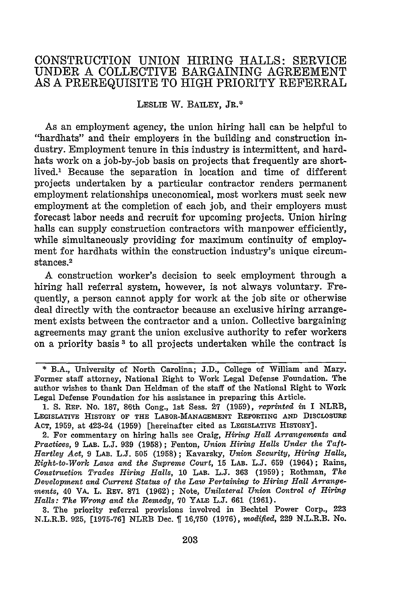## CONSTRUCTION **UNION** HIRING **HALLS:** SERVICE **UNDER A** COLLECTIVE BARGAINING **AGREEMENT AS A** PREREQUISITE TO HIGH PRIORITY REFERRAL

## LESLIE W. BAILEY, **JR.\***

As an employment agency, the union hiring hall can be helpful to "hardhats" and their employers in the building and construction industry. Employment tenure in this industry is intermittent, and hardhats work on a job-by-job basis on projects that frequently are shortlived.' Because the separation in location and time of different projects undertaken by a particular contractor renders permanent employment relationships uneconomical, most workers must seek new employment at the completion of each job, and their employers must forecast labor needs and recruit for upcoming projects. Union hiring halls can supply construction contractors with manpower efficiently, while simultaneously providing for maximum continuity of employment for hardhats within the construction industry's unique circumstances. 2

A construction worker's decision to seek employment through a hiring hall referral system, however, is not always voluntary. Frequently, a person cannot apply for work at the job site or otherwise deal directly with the contractor because an exclusive hiring arrangement exists between the contractor and a union. Collective bargaining agreements may grant the union exclusive authority to refer workers on a priority basis **3** to all projects undertaken while the contract is

**3.** The priority referral provisions involved in Bechtel Power Corp., 223 N.L.R.B. 925, [1975-76] NLRB Dec. **f** 16,750 (1976), *modified,* 229 N.L.R.B. No.

<sup>\*</sup> B.A., University of North Carolina; J.D., College of William and Mary. Former staff attorney, National Right to Work Legal Defense Foundation. The author wishes to thank Dan Heldman of the staff of the National Right to Work Legal Defense Foundation for his assistance in preparing this Article.

**<sup>1.</sup>** S. REP. No. **187,** 86th Cong., **1st** Sess. **27** (1959), *reprinted in* I NLRB, LEGISLATIVE HISTORY **OF** THE LABOR-MANAGEMENT REPORTING **AND** DIsCLosURE **ACT, 1959,** at 423-24 **(1959)** [hereinafter cited as LEGISLATIVE HISTORY].

<sup>2.</sup> For commentary on hiring halls see Craig, *Hiring Hall Arrangements and Practices,* **9** LAB. **L.J. 939 (1958);** Fenton, *Union Hiring Halls Under the Taft-Hartley Act,* 9 LAB. **L.J.** 505 (1958); Kavarsky, *Union Security, Hiring Halls, Right-to-Work Laws and the Supreme Court,* **15** LAB. L.J. 659 (1964); Rains, *Construction Trades Hiring Halls,* **10** LAB. L.J. **363 (1959);** Rothman, *The Development and Current Status of the Law Pertaining to Hiring Hall Arrangements,* 40 VA. L. REV. **871** (1962); Note, *Unilateral Union Control of Hiring Halls: The Wrong and the Remedy,* 70 YALE L.J. **661** (1961).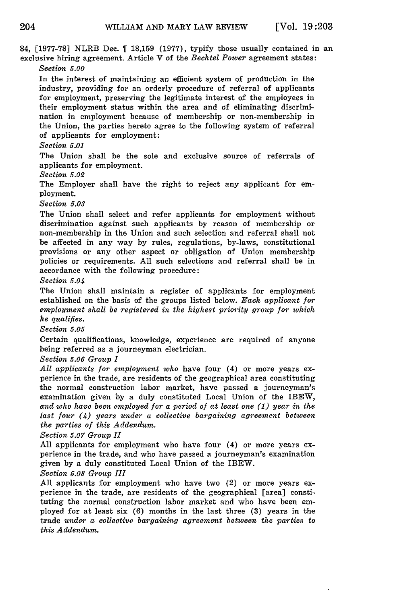84, [1977-78] NLRB Dec. **1** 18,159 (1977), typify those usually contained in an exclusive hiring agreement. Article V of the *Bechtel Power* agreement states: *Section 5.00*

In the interest of maintaining an efficient system of production in the industry, providing for an orderly procedure of referral of applicants for employment, preserving the legitimate interest of the employees in their employment status within the area and of eliminating discrimination in employment because of membership or non-membership in the Union, the parties hereto agree to the following system of referral of applicants for employment:

#### *Section* 5.01

The Union shall be the sole and exclusive source of referrals of applicants for employment.

*Section 5.02*

The Employer shall have the right to reject any applicant for employment.

*Section 5.03*

The Union shall select and refer applicants for employment without discrimination against such applicants by reason of membership or non-membership in the Union and such selection and referral shall not be affected in any way by rules, regulations, by-laws, constitutional provisions or any other aspect or obligation of Union membership policies or requirements. All such selections and referral shall be in accordance with the following procedure:

*Section 5.04*

The Union shall maintain a register of applicants for employment established on the basis of the groups listed below. *Each applicant for employment shall be registered in the highest priority group for which he qualifies.*

*Section 5.05*

Certain qualifications, knowledge, experience are required of anyone being referred as a journeyman electrician.

*Section 5.06 Group I*

*All applicants for employment who* have four (4) or more years experience in the trade, are residents of the geographical area constituting the normal construction labor market, have passed a journeyman's examination given by a duly constituted Local Union of the IBEW, *and who have been employed for a period of at least one (1) year in the last four (4) years under a collective bargaining agreement between the parties of this Addendum.*

*Section 5.07 Group II*

All applicants for employment who have four (4) or more years experience in the trade, and who have passed a journeyman's examination given by a duly constituted Local Union of the IBEW.

*Section 5.08 Group III*

All applicants for employment who have two (2) or more years experience in the trade, are residents of the geographical [area] constituting the normal construction labor market and who have been employed for at least six (6) months in the last three (3) years in the trade *under a collective bargaining agreement between the parties to this Addendum.*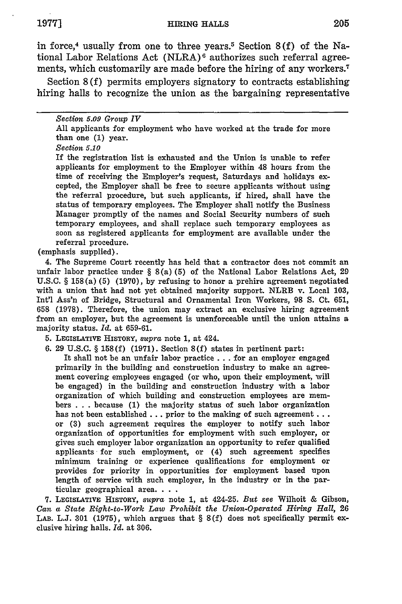in force,4 usually from one to three years. 5 Section **8 (f)** of the National Labor Relations Act  $(NLRA)^6$  authorizes such referral agreements, which customarily are made before the hiring of any workers.<sup>7</sup>

Section 8 (f) permits employers signatory to contracts establishing hiring halls to recognize the union as the bargaining representative

#### *Section 5.09 Group IV*

All applicants for employment who have worked at the trade for more than one (1) year.

*Section 5.10*

If the registration list is exhausted and the Union is unable to refer applicants for employment to the Employer within 48 hours from the time of receiving the Employer's request, Saturdays and holidays excepted, the Employer shall be free to secure applicants without using the referral procedure, but such applicants, if hired, shall have the status of temporary employees. The Employer shall notify the Business Manager promptly of the names and Social Security numbers of such temporary employees, and shall replace such temporary employees as soon as registered applicants for employment are available under the referral procedure.

(emphasis supplied).

4. The Supreme Court recently has held that a contractor does not commit an unfair labor practice under § 8(a) (5) of the National Labor Relations Act, 29 U.S.C. § **158** (a) (5) (1970), by refusing to honor a prehire agreement negotiated with a union that had not yet obtained majority support. NLRB v. Local 103, Int'l Ass'n of Bridge, Structural and Ornamental Iron Workers, **98 S.** Ct. 651, **658** (1978). Therefore, the union may extract an exclusive hiring agreement from an employer, but the agreement is unenforceable until the union attains a majority status. *Id.* at 659-61.

5. LEGISLATIVE HISTORY, *supra* note **1,** at 424.

6. 29 U.S.C. § 158(f) (1971). Section 8(f) states in pertinent part:

It shall not be an unfair labor practice.., for an employer engaged primarily in the building and construction industry to make an agreement covering employees engaged (or who, upon their employment, will be engaged) in the building and construction industry with a labor organization of which building and construction employees are members . . . because (1) the majority status of such labor organization has not been established... prior to the making of such agreement... or (3) such agreement requires the employer to notify such labor organization of opportunities for employment with such employer, or gives such employer labor organization an opportunity to refer qualified applicants for such employment, or (4) such agreement specifies minimum training or experience qualifications for employment or provides for priority in opportunities for employment based upon length of service with such employer, in the industry or in the particular geographical area. . **..**

**7.** LEGIsLATIvE HISTORY, *supra* note 1, at 424-25. *But see* Wilhoit & Gibson, *Can a State Right-to-Work Law Prohibit the Union-Operated Hiring Hall,* **26** LAB. L.J. 301 (1975), which argues that § 8(f) does not specifically permit exclusive hiring halls. *Id.* at 306.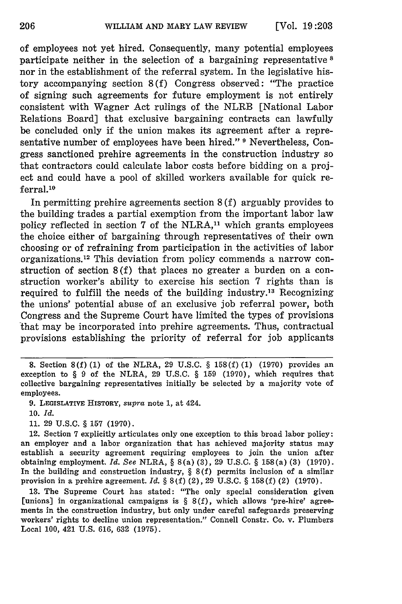of employees not yet hired. Consequently, many potential employees participate neither in the selection of a bargaining representative  $s$ nor in the establishment of the referral system. In the legislative history accompanying section 8(f) Congress observed: "The practice of signing such agreements for future employment is not entirely consistent with Wagner Act rulings of the NLRB [National Labor Relations Board] that exclusive bargaining contracts can lawfully be concluded only if the union makes its agreement after a representative number of employees have been hired." <sup>9</sup> Nevertheless, Congress sanctioned prehire agreements in the construction industry so that contractors could calculate labor costs before bidding on a project and could have a pool of skilled workers available for quick referral.<sup>10</sup>

In permitting prehire agreements section 8 (f) arguably provides to the building trades a partial exemption from the important labor law policy reflected in section 7 of the NLRA,<sup>11</sup> which grants employees the choice either of bargaining through representatives of their own choosing or of refraining from participation in the activities of labor organizations. 12 This deviation from policy commends a narrow construction of section 8 (f) that places no greater a burden on a construction worker's ability to exercise his section **7** rights than is required to fulfill the needs of the building industry.<sup>13</sup> Recognizing the unions' potential abuse of an exclusive job referral power, both Congress and the Supreme Court have limited the types of provisions that may be incorporated into prehire agreements. Thus, contractual provisions establishing the priority of referral for job applicants

10. *Id.*

**11.** 29 U.S.C. § **157** (1970).

12. Section 7 explicitly articulates only one exception to this broad labor policy: an employer and a labor organization that has achieved majority status may establish a security agreement requiring employees to join the union after obtaining employment. *Id. See* NLRA, § 8(a) (3), 29 U.S.C. § 158(a) **(3)** (1970). In the building and construction industry,  $\S 8(f)$  permits inclusion of a similar provision in a prehire agreement. *Id.* § 8(f) (2), 29 U.S.C. § 158(f) (2) (1970).

13. The Supreme Court has stated: "The only special consideration given [unions] in organizational campaigns is  $\S 8(f)$ , which allows 'pre-hire' agreements in the construction industry, but only under careful safeguards preserving workers' rights to decline union representation." Connell Constr. Co. v. Plumbers Local 100, 421 U.S. 616, 632 (1975).

**<sup>8.</sup>** Section 8(f) **(1)** of the NLRA, 29 U.S.C. § **158(f) (1) (1970)** provides an exception to § 9 of the NLRA, 29 U.S.C. § **159** (1970), which requires that collective bargaining representatives initially be selected by a majority vote of employees.

<sup>9.</sup> **LEGISLATIvE** HISTORY, *supra* note **1,** at 424.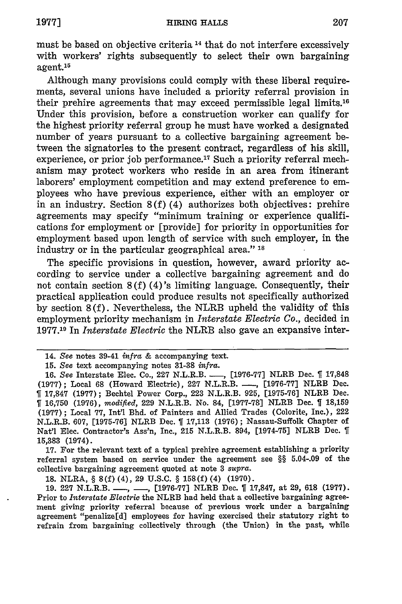must be based on objective criteria 14 that do not interfere excessively with workers' rights subsequently to select their own bargaining agent.<sup>1</sup>

Although many provisions could comply with these liberal requirements, several unions have included a priority referral provision in their prehire agreements that may exceed permissible legal limits.'6 Under this provision, before a construction worker can qualify for the highest priority referral group he must have worked a designated number of years pursuant to a collective bargaining agreement between the signatories to the present contract, regardless of his skill, experience, or prior job performance.<sup>17</sup> Such a priority referral mechanism may protect workers who reside in an area from itinerant laborers' employment competition and may extend preference to employees who have previous experience, either with an employer or in an industry. Section 8(f) (4) authorizes both objectives: prehire agreements may specify "minimum training or experience qualifications for employment or [provide] for priority in opportunities for employment based upon length of service with such employer, in the industry or in the particular geographical area." **'s**

The specific provisions in question, however, award priority according to service under a collective bargaining agreement and do not contain section  $8(f)(4)$ 's limiting language. Consequently, their practical application could produce results not specifically authorized by section 8(f). Nevertheless, the NLRB upheld the validity of this employment priority mechanism in *Interstate Electric Co.,* decided in **1977.19** In *Interstate Electric* the NLRB also gave an expansive inter-

**17.** For the relevant text of a typical prehire agreement establishing a priority referral system based on service under the agreement see §§ 5.04-.09 of the collective bargaining agreement quoted at note **3** *supra.*

**18.** NLRA, § **8(f)** (4), **29 U.S.C.** § **158(f)** (4) **(1970).**

**19. 227** N.L.R.B. **-, -, [1976-77]** NLRB Dec. 1 **17,847,** at **29, 618 (1977).** Prior to *Interstate Electric* the NLRB had held that a collective bargaining agreement giving priority referral because of previous work under a bargaining agreement "penalize[d] employees for having exercised their statutory right to refrain from bargaining collectively through (the Union) in the past, while

<sup>14.</sup> *See* notes 39-41 *infra &* accompanying text.

*<sup>15.</sup> See* text accompanying notes **31-38** *infra.*

<sup>16.</sup> *See* Interstate Elec. Co., **227** N.L.R.B. **-, [1976-77]** NLRB Dec. **f 17,848 (1977);** Local **68** (Howard Electric), **227** N.L.R.B. **-,** [1976-77] NLRB Dec. **f** 17,847 **(1977);** Bechtel Power Corp., 223 N.L.R.B. 925, **[1975-76]** NLRB Dec. 16,750 (1976), *modified,* 229 N.L.R.B. No. 84, [1977-78] NLRB Dec. **1 18,159 (1977);** Local 77, Int'l Bhd. of Painters and Allied Trades (Colorite, Inc.), 222 N.L.R.B. 607, [1975-76] NLRB Dec. 1 **17,113** (1976); Nassau-Suffolk Chapter of Nat'l Elec. Contractor's Ass'n, Inc., **215** N.L.R.B. 894, [1974-75] NLRB Dec. **ff 15,383** (1974).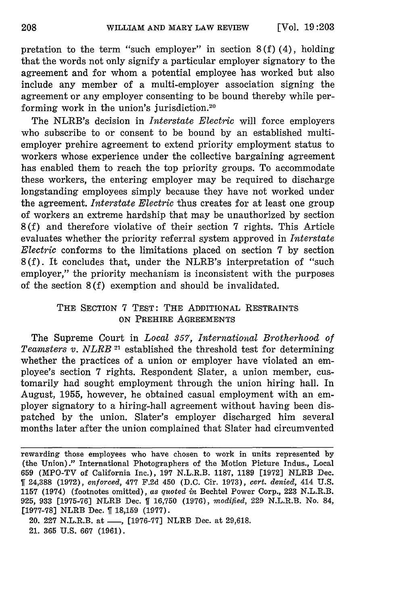pretation to the term "such employer" in section  $8(f)(4)$ , holding that the words not only signify a particular employer signatory to the agreement and for whom a potential employee has worked but also include any member of a multi-employer association signing the agreement or any employer consenting to be bound thereby while performing work in the union's jurisdiction.20

The NLRB's decision in *Interstate Electric* will force employers who subscribe to or consent to be bound by an established multiemployer prehire agreement to extend priority employment status to workers whose experience under the collective bargaining agreement has enabled them to reach the top priority groups. To accommodate these workers, the entering employer may be required to discharge longstanding employees simply because they have not worked under the agreement. *Interstate Electric* thus creates for at least one group of workers an extreme hardship that may be unauthorized by section **8** (f) and therefore violative of their section 7 rights. This Article evaluates whether the priority referral system approved in *Interstate Electric* conforms to the limitations placed on section 7 by section **8** (f). It concludes that, under the NLRB's interpretation of "such employer," the priority mechanism is inconsistent with the purposes of the section 8 (f) exemption and should be invalidated.

## THE SECTION 7 TEST: THE ADDITIONAL RESTRAINTS ON PREHIRE AGREEMENTS

The Supreme Court in *Local 357, International Brotherhood of Teamsters v. NLRB* **21** established the threshold test for determining whether the practices of a union or employer have violated an employee's section 7 rights. Respondent Slater, a union member, customarily had sought employment through the union hiring hall. In August, 1955, however, he obtained casual employment with an employer signatory to a hiring-hall agreement without having been dispatched by the union. Slater's employer discharged him several months later after the union complained that Slater had circumvented

rewarding those employees who have chosen to work in units represented by (the Union)." International Photographers of the Motion Picture Indus., Local 659 (MPO-TV of California Inc.), 197 N.L.R.B. 1187, 1189 [1972] NLRB Dec. 24,388 (1972), *enforced,* 477 F.2d 450 (D.C. Cir. 1973), *cert. denied,* 414 U.S. 1157 (1974) (footnotes omitted), *as quoted in* Bechtel Power Corp., 223 N.L.R.B. 925, 933 [1975-76] NLRB Dec. 16,750 (1976), *modified,* 229 N.L.R.B. No. 84, [1977-78] NLRB Dec. [18,159 (1977).

<sup>20. 227</sup> N.L.R.B. at <sub>-</sub>, [1976-77] NLRB Dec. at 29,618. 21. 365 U.S. 667 (1961).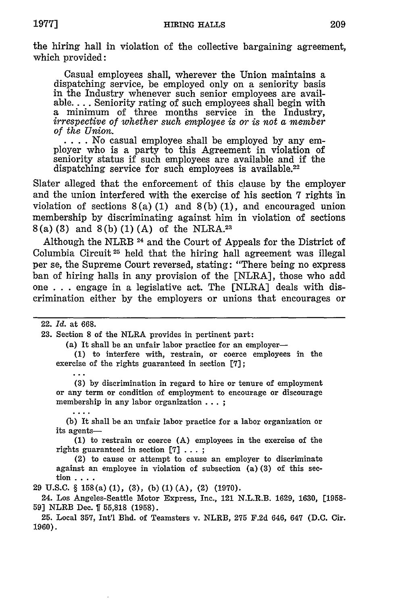the hiring hall in violation of the collective bargaining agreement, which provided:

Casual employees shall, wherever the Union maintains a dispatching service, be employed only on a seniority basis in the Industry whenever such senior employees are available.... Seniority rating of such employees shall begin with a minimum of three months service in the Industry, *irrespective of whether such employee is or is not a member*

*of the Union.* **....** No casual employee shall be employed by any employer who is a party to this Agreement in violation of seniority status if such employees are available and if the dispatching service for such employees is available.<sup>22</sup>

Slater alleged that the enforcement of this clause by the employer and the union interfered with the exercise of his section 7 rights in violation of sections  $8(a) (1)$  and  $8(b) (1)$ , and encouraged union membership by discriminating against him in violation of sections **8** (a) (3) and 8 (b) (1) (A) of the NLRA.23

Although the NLRB 24 and the Court of Appeals for the District of Columbia Circuit 25 held that the hiring hall agreement was illegal per se, the Supreme Court reversed, stating: "There being no express ban of hiring halls in any provision of the [NLRA], those who add one . . . engage in a legislative act. The [NLRA] deals with discrimination either by the employers or unions that encourages or

#### 22. *Id.* at 668.

 $\ddotsc$ 

23. Section 8 of the NLRA provides in pertinent part:

(a) It shall be an unfair labor practice for an employer-

**(1)** to interfere with, restrain, or coerce employees in the exercise of the rights guaranteed in section **[7];**

(3) by discrimination in regard to hire or tenure of employment or any term or condition of employment to encourage or discourage membership in any labor organization . . . ;

(b) It shall be an unfair labor practice for a labor organization or its agents-

**(1)** to restrain or coerce (A) employees in the exercise of the rights guaranteed in section **[7] ... ;**

(2) to cause or attempt to cause an employer to discriminate against an employee in violation of subsection (a) (3) of this section ....

**29 U.S.C.** § 158(a) **(1), (3), (b) (1) (A),** (2) **(1970).**

24. Los Angeles-Seattle Motor Express, Inc., 121 N.L.R.B. **1629, 1630, [1958- 59]** NLRB Dec. 1 55,818 **(1958).**

**25.** Local 357, Int'l Bhd. of Teamsters v. NLRB, **275** F.2d 646, 647 (D.C. Cir. **1960).**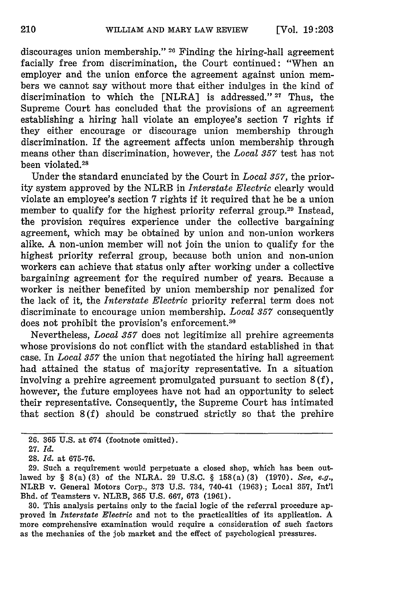discourages union membership." 26 Finding the hiring-hall agreement facially free from discrimination, the Court continued: "When an employer and the union enforce the agreement against union members we cannot say without more that either indulges in the kind of discrimination to which the [NLRA] is addressed." **27** Thus, the Supreme Court has concluded that the provisions of an agreement establishing a hiring hall violate an employee's section 7 rights if they either encourage or discourage union membership through discrimination. If the agreement affects union membership through means other than discrimination, however, the *Local 357* test has not been violated.28

Under the standard enunciated by the Court in *Local 357,* the priority system approved by the NLRB in *Interstate Electric* clearly would violate an employee's section 7 rights if it required that he be a union member to qualify for the highest priority referral group.<sup>29</sup> Instead, the provision requires experience under the collective bargaining agreement, which may be obtained by union and non-union workers alike. A non-union member will not join the union to qualify for the highest priority referral group, because both union and non-union workers can achieve that status only after working under a collective bargaining agreement for the required number of years. Because a worker is neither benefited by union membership nor penalized for the lack of it, the *Interstate Electric* priority referral term does not discriminate to encourage union membership. *Local 357* consequently does not prohibit the provision's enforcement.<sup>30</sup>

Nevertheless, *Local 357* does not legitimize all prehire agreements whose provisions do not conflict with the standard established in that case. In *Local 357* the union that negotiated the hiring hall agreement had attained the status of majority representative. In a situation involving a prehire agreement promulgated pursuant to section 8 (f), however, the future employees have not had an opportunity to select their representative. Consequently, the Supreme Court has intimated that section 8(f) should be construed strictly so that the prehire

30. This analysis pertains only to the facial logic of the referral procedure approved in *Interstate Electric* and not to the practicalities of its application. A more comprehensive examination would require a consideration of such factors as the mechanics of the job market and the effect of psychological pressures.

<sup>26. 365</sup> U.S. at 674 (footnote omitted).

<sup>27.</sup> *Id.*

<sup>28.</sup> *Id.* at 675-76.

<sup>29.</sup> Such a requirement would perpetuate a closed shop, which has been outlawed by § 8(a) (3) of the NLRA. 29 U.S.C. § 158(a) (3) (1970). *See, e.g.,* NLRB v. General Motors Corp., 373 U.S. 734, 740-41 (1963); Local 357, Int'l Bhd. of Teamsters v. NLRB, **365** U.S. 667, 673 (1961).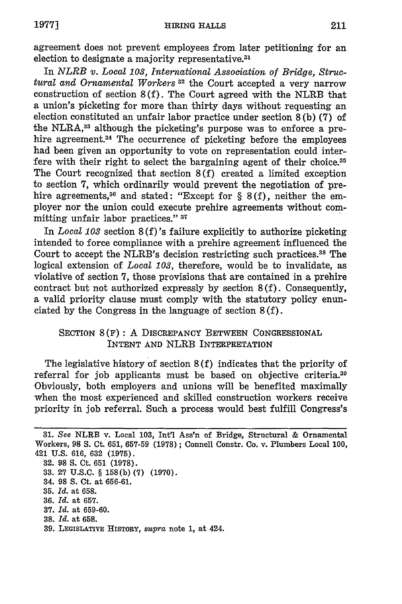agreement does not prevent employees from later petitioning for an election to designate a majority representative.<sup>31</sup>

In *NLRB v. Local 103, International Association of Bridge, Structural and Ornamental Workers* **32** the Court accepted a very narrow construction of section 8 (f). The Court agreed with the NLRB that a union's picketing for more than thirty days without requesting an election constituted an unfair labor practice under section 8 (b) **(7)** of the NLRA,33 although the picketing's purpose was to enforce a prehire agreement.<sup>34</sup> The occurrence of picketing before the employees had been given an opportunity to vote on representation could interfere with their right to select the bargaining agent of their choice.<sup>35</sup> The Court recognized that section 8 (f) created a limited exception to section 7, which ordinarily would prevent the negotiation of prehire agreements,<sup>36</sup> and stated: "Except for  $\S$  8(f), neither the employer nor the union could execute prehire agreements without committing unfair labor practices." **37**

In *Local 103* section 8 (f)'s failure explicitly to authorize picketing intended to force compliance with a prehire agreement influenced the Court to accept the NLRB's decision restricting such practices.<sup>38</sup> The logical extension of *Local 103,* therefore, would be to invalidate, as violative of section **7,** those provisions that are contained in a prehire contract but not authorized expressly by section 8(f). Consequently, a valid priority clause must comply with the statutory policy enunciated by the Congress in the language of section 8 (f).

## SECTION 8(F): A DISCREPANCY BETWEEN CONGRESSIONAL INTENT AND NLRB INTERPRETATION

The legislative history of section 8 (f) indicates that the priority of referral for job applicants must be based on objective criteria.<sup>39</sup> Obviously, both employers and unions will be benefited maximally when the most experienced and skilled construction workers receive priority in job referral. Such a process would best fulfill Congress's

- **33. 27 U.S.C.** § **158(b) (7) (1970).**
- 34. **98 S.** Ct. at **656-61.**
- **35.** *Id.* at **658.**
- **36.** *Id.* at **657.**
- **37.** *Id.* at **659-60.**
- **38.** *Id.* at **658.**
- 39. LEGISLATIVE HISTORY, *supra* note 1, at 424.

**<sup>31.</sup>** *See* NLRB v. Local 103, Int'l Ass'n of Bridge, Structural & Ornamental Workers, **98 S.** Ct. 651, 657-59 **(1978);** Connell Constr. Co. v. Plumbers Local **100,** 421 U.S. 616, 632 (1975).

**<sup>32.</sup>** 98 **S.** Ct. **651 (1978).**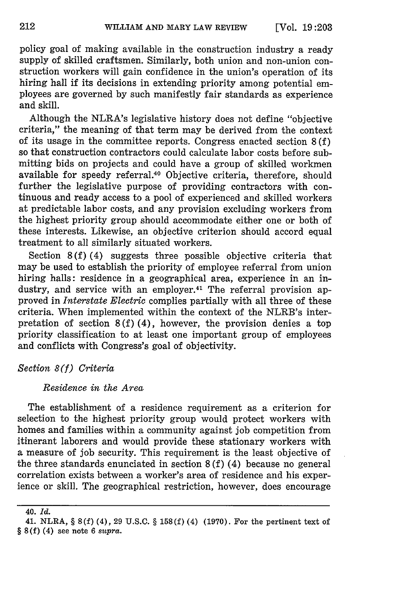policy goal of making available in the construction industry a ready supply of skilled craftsmen. Similarly, both union and non-union construction workers will gain confidence in the union's operation of its hiring hall if its decisions in extending priority among potential employees are governed by such manifestly fair standards as experience and skill.

Although the NLRA's legislative history does not define "objective criteria," the meaning of that term may be derived from the context of its usage in the committee reports. Congress enacted section 8 (f) so that construction contractors could calculate labor costs before submitting bids on projects and could have a group of skilled workmen available for speedy referral.<sup>40</sup> Objective criteria, therefore, should further the legislative purpose of providing contractors with continuous and ready access to a pool of experienced and skilled workers at predictable labor costs, and any provision excluding workers from the highest priority group should accommodate either one or both of these interests. Likewise, an objective criterion should accord equal treatment to all similarly situated workers.

Section 8 **(f)** (4) suggests three possible objective criteria that may be used to establish the priority of employee referral from union hiring halls: residence in a geographical area, experience in an industry, and service with an employer.<sup>41</sup> The referral provision approved in *Interstate Electric* complies partially with all three of these criteria. When implemented within the context of the NLRB's interpretation of section 8(f) (4), however, the provision denies a top priority classification to at least one important group of employees and conflicts with Congress's goal of objectivity.

*Section 8(f) Criteria*

### *Residence in the Area*

The establishment of a residence requirement as a criterion for selection to the highest priority group would protect workers with homes and families within a community against job competition from itinerant laborers and would provide these stationary workers with a measure of job security. This requirement is the least objective of the three standards enunciated in section 8 (f) (4) because no general correlation exists between a worker's area of residence and his experience or skill. The geographical restriction, however, does encourage

<sup>40.</sup> *Id.*

<sup>41.</sup> NLRA, § 8(f) (4), 29 U.S.C. § 158(f) (4) (1970). For the pertinent text of  $\S 8(f)$  (4) see note 6 supra.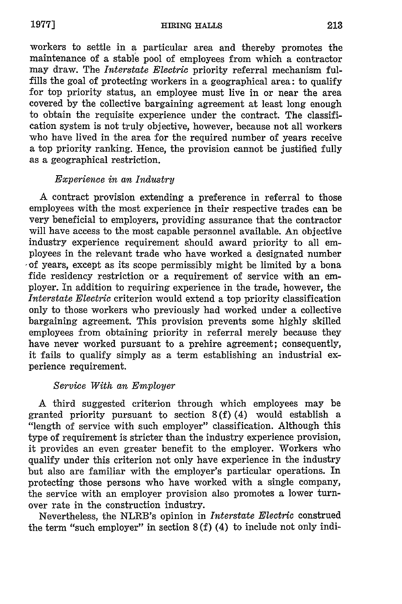HIRING **HALLS**

workers to settle in a particular area and thereby promotes the maintenance of a stable pool of employees from which a contractor may draw. The *Interstate Electric* priority referral mechanism fulfills the goal of protecting workers in a geographical area: to qualify for top priority status, an employee must live in or near the area covered by the collective bargaining agreement at least long enough to obtain the requisite experience under the contract. The classification system is not truly objective, however, because not all workers who have lived in the area for the required number of years receive a top priority ranking. Hence, the provision cannot be justified fully as a geographical restriction.

## *Experience in an Industry*

A contract provision extending a preference in referral to those employees with the most experience in their respective trades can be very beneficial to employers, providing assurance that the contractor will have access to the most capable personnel available. An objective industry experience requirement should award priority to all employees in the relevant trade who have worked a designated number  $\circ$  of years, except as its scope permissibly might be limited by a bona fide residency restriction or a requirement of service with an employer. In addition to requiring experience in the trade, however, the *Interstate Electric* criterion would extend a top priority classification only to those workers who previously had worked under a collective bargaining agreement. This provision prevents some highly skilled employees from obtaining priority in referral merely because they have never worked pursuant to a prehire agreement; consequently, it fails to qualify simply as a term establishing an industrial experience requirement.

## *Service With an Employer*

A third suggested criterion through which employees may be granted priority pursuant to section 8(f) (4) would establish a "length of service with such employer" classification. Although this type of requirement is stricter than the industry experience provision, it provides an even greater benefit to the employer. Workers who qualify under this criterion not only have experience in the industry but also are familiar with the employer's particular operations. In protecting those persons who have worked with a single company, the service with an employer provision also promotes a lower turnover rate in the construction industry.

Nevertheless, the NLRB's opinion in *Interstate Electric* construed the term "such employer" in section 8 (f) (4) to include not only indi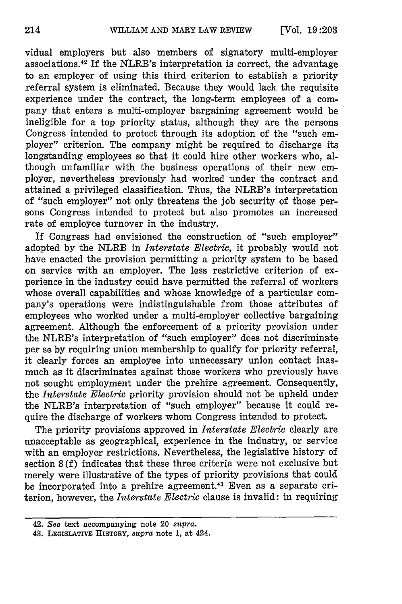vidual employers but also members of signatory multi-employer associations. 42 If the NLRB's interpretation is correct, the advantage to an employer of using this third criterion to establish a priority referral system is eliminated. Because they would lack the requisite experience under the contract, the long-term employees of a company that enters a multi-employer bargaining agreement would be ineligible for a top priority status, although they are the persons Congress intended to protect through its adoption of the "such employer" criterion. The company might be required to discharge its longstanding employees so that it could hire other workers who, although unfamiliar with the business operations of their new employer, nevertheless previously had worked under the contract and attained a privileged classification. Thus, the NLRB's interpretation of "such employer" not only threatens the job security of those persons Congress intended to protect but also promotes an increased rate of employee turnover in the industry.

If Congress had envisioned the construction of "such employer" adopted by the NLRB in *Interstate Electric,* it probably would not have enacted the provision permitting a priority system to be based on service with an employer. The less restrictive criterion of experience in the industry could have permitted the referral of workers whose overall capabilities and whose knowledge of a particular company's operations were indistinguishable from those attributes of employees who worked under a multi-employer collective bargaining agreement. Although the enforcement of a priority provision under the NLRB's interpretation of "such employer" does not discriminate per se by requiring union membership to qualify for priority referral, it clearly forces an employee into unnecessary union contact inasmuch as it discriminates against those workers who previously have not sought employment under the prehire agreement. Consequently, the *Interstate Electric* priority provision should not be upheld under the NLRB's interpretation of "such employer" because it could require the discharge of workers whom Congress intended to protect.

The priority provisions approved in *Interstate Electric* clearly are unacceptable as geographical, experience in the industry, or service with an employer restrictions. Nevertheless, the legislative history of section 8 (f) indicates that these three criteria were not exclusive but merely were illustrative of the types of priority provisions that could be incorporated into a prehire agreement.<sup>43</sup> Even as a separate criterion, however, the *Interstate Electric* clause is invalid: in requiring

<sup>42.</sup> *See* text accompanying note 20 supra.

<sup>43.</sup> **LEGIsLATIVE HISTORY,** supra note **1,** at 424.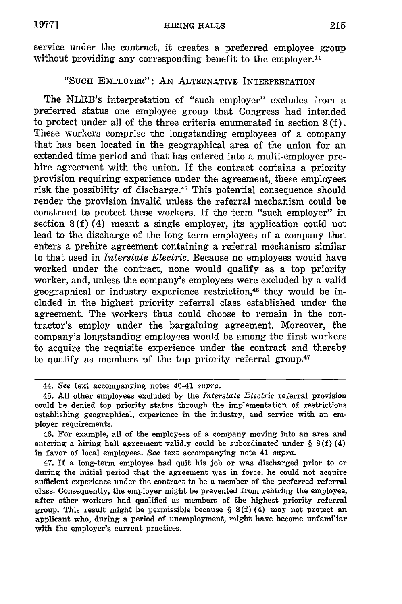service under the contract, it creates a preferred employee group without providing any corresponding benefit to the employer.<sup>44</sup>

## "SUCH EMPLOYER": AN ALTERNATIVE INTERPRETATION

The NLRB's interpretation of "such employer" excludes from a preferred status one employee group that Congress had intended to protect under all of the three criteria enumerated in section 8 (f). These workers comprise the longstanding employees of a company that has been located in the geographical area of the union for an extended time period and that has entered into a multi-employer prehire agreement with the union. If the contract contains a priority provision requiring experience under the agreement, these employees risk the possibility of discharge. 45 This potential consequence should render the provision invalid unless the referral mechanism could be construed to protect these workers. If the term "such employer" in section **8(f)** (4) meant a single employer, its application could not lead to the discharge of the long term employees of a company that enters a prehire agreement containing a referral mechanism similar to that used in *Interstate Electric.* Because no employees would have worked under the contract, none would qualify as a top priority worker, and, unless the company's employees were excluded **by** a valid geographical or industry experience restriction,<sup>46</sup> they would be included in the highest priority referral class established under the agreement. The workers thus could choose to remain in the contractor's employ under the bargaining agreement. Moreover, the company's longstanding employees would be among the first workers to acquire the requisite experience under the contract and thereby to qualify as members of the top priority referral group. $47$ 

<sup>44.</sup> *See* text accompanying notes 40-41 *supra.*

<sup>45.</sup> **All** other employees excluded **by** the *Interstate Electric* referral provision could be denied top priority status through the implementation of restrictions establishing geographical, experience in the industry, and service with an employer requirements.

<sup>46.</sup> For example, all of the employees of a company moving into an area and entering a hiring hall agreement validly could be subordinated under § **8(f)** (4) in favor of local employees. *See* text accompanying note 41 *supra.*

<sup>47.</sup> If a long-term employee had quit his job or was discharged prior to or during the initial period that the agreement was in force, he could not acquire sufficient experience under the contract to be a member of the preferred referral class. Consequently, the employer might be prevented from rehiring the employee, after other workers had qualified as members of the highest priority referral group. This result might be permissible because § **8(f)** (4) may not protect an applicant who, during a period of unemployment, might have become unfamiliar with the employer's current practices.